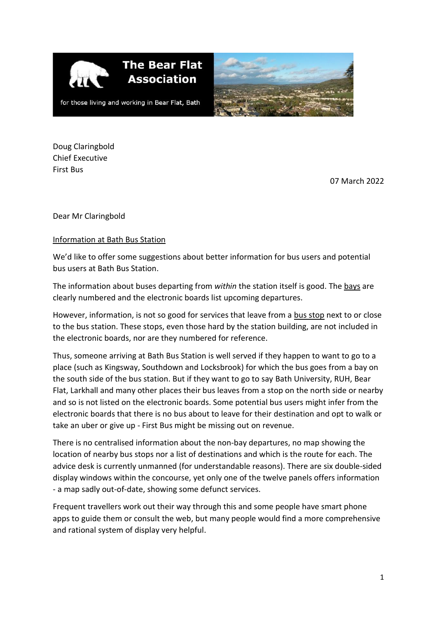

**The Bear Flat Association** 



for those living and working in Bear Flat, Bath

Doug Claringbold Chief Executive First Bus

07 March 2022

Dear Mr Claringbold

## Information at Bath Bus Station

We'd like to offer some suggestions about better information for bus users and potential bus users at Bath Bus Station.

The information about buses departing from *within* the station itself is good. The bays are clearly numbered and the electronic boards list upcoming departures.

However, information, is not so good for services that leave from a bus stop next to or close to the bus station. These stops, even those hard by the station building, are not included in the electronic boards, nor are they numbered for reference.

Thus, someone arriving at Bath Bus Station is well served if they happen to want to go to a place (such as Kingsway, Southdown and Locksbrook) for which the bus goes from a bay on the south side of the bus station. But if they want to go to say Bath University, RUH, Bear Flat, Larkhall and many other places their bus leaves from a stop on the north side or nearby and so is not listed on the electronic boards. Some potential bus users might infer from the electronic boards that there is no bus about to leave for their destination and opt to walk or take an uber or give up - First Bus might be missing out on revenue.

There is no centralised information about the non-bay departures, no map showing the location of nearby bus stops nor a list of destinations and which is the route for each. The advice desk is currently unmanned (for understandable reasons). There are six double-sided display windows within the concourse, yet only one of the twelve panels offers information - a map sadly out-of-date, showing some defunct services.

Frequent travellers work out their way through this and some people have smart phone apps to guide them or consult the web, but many people would find a more comprehensive and rational system of display very helpful.